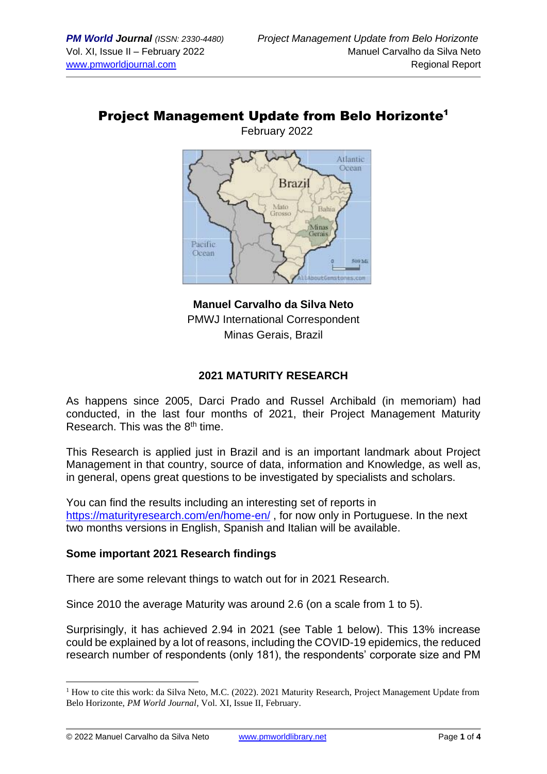### Project Management Update from Belo Horizonte<sup>1</sup> February 2022

Atlantic Ocean **Brazil** Mato Bahia Grosso Minas Gerais Pacific Ocean 500 MS

**Manuel Carvalho da Silva Neto** PMWJ International Correspondent Minas Gerais, Brazil

### **2021 MATURITY RESEARCH**

As happens since 2005, Darci Prado and Russel Archibald (in memoriam) had conducted, in the last four months of 2021, their Project Management Maturity Research. This was the  $8<sup>th</sup>$  time.

This Research is applied just in Brazil and is an important landmark about Project Management in that country, source of data, information and Knowledge, as well as, in general, opens great questions to be investigated by specialists and scholars.

You can find the results including an interesting set of reports in <https://maturityresearch.com/en/home-en/> , for now only in Portuguese. In the next two months versions in English, Spanish and Italian will be available.

#### **Some important 2021 Research findings**

There are some relevant things to watch out for in 2021 Research.

Since 2010 the average Maturity was around 2.6 (on a scale from 1 to 5).

Surprisingly, it has achieved 2.94 in 2021 (see Table 1 below). This 13% increase could be explained by a lot of reasons, including the COVID-19 epidemics, the reduced research number of respondents (only 181), the respondents' corporate size and PM

<sup>&</sup>lt;sup>1</sup> How to cite this work: da Silva Neto, M.C. (2022). 2021 Maturity Research, Project Management Update from Belo Horizonte, *PM World Journal*, Vol. XI, Issue II, February.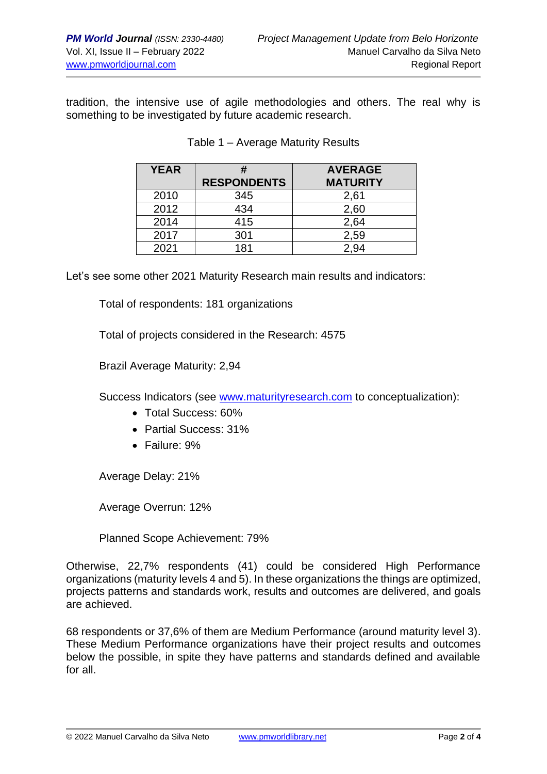tradition, the intensive use of agile methodologies and others. The real why is something to be investigated by future academic research.

| <b>YEAR</b> | #                  | <b>AVERAGE</b>  |
|-------------|--------------------|-----------------|
|             | <b>RESPONDENTS</b> | <b>MATURITY</b> |
| 2010        | 345                | 2,61            |
| 2012        | 434                | 2,60            |
| 2014        | 415                | 2,64            |
| 2017        | 301                | 2,59            |
| 2021        | 181                |                 |

#### Table 1 – Average Maturity Results

Let's see some other 2021 Maturity Research main results and indicators:

Total of respondents: 181 organizations

Total of projects considered in the Research: 4575

Brazil Average Maturity: 2,94

Success Indicators (see [www.maturityresearch.com](http://www.maturityresearch.com/) to conceptualization):

- Total Success: 60%
- Partial Success: 31%
- Failure: 9%

Average Delay: 21%

Average Overrun: 12%

Planned Scope Achievement: 79%

Otherwise, 22,7% respondents (41) could be considered High Performance organizations (maturity levels 4 and 5). In these organizations the things are optimized, projects patterns and standards work, results and outcomes are delivered, and goals are achieved.

68 respondents or 37,6% of them are Medium Performance (around maturity level 3). These Medium Performance organizations have their project results and outcomes below the possible, in spite they have patterns and standards defined and available for all.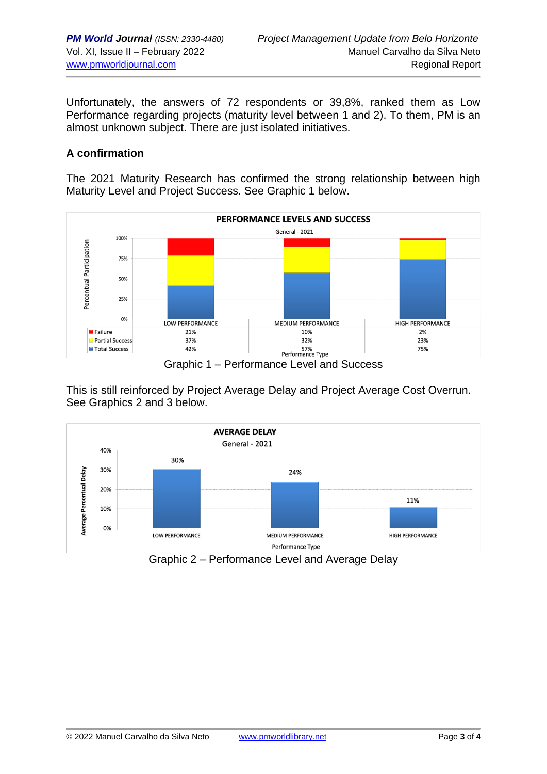Unfortunately, the answers of 72 respondents or 39,8%, ranked them as Low Performance regarding projects (maturity level between 1 and 2). To them, PM is an almost unknown subject. There are just isolated initiatives.

## **A confirmation**

The 2021 Maturity Research has confirmed the strong relationship between high Maturity Level and Project Success. See Graphic 1 below.



Graphic 1 – Performance Level and Success

This is still reinforced by Project Average Delay and Project Average Cost Overrun. See Graphics 2 and 3 below.